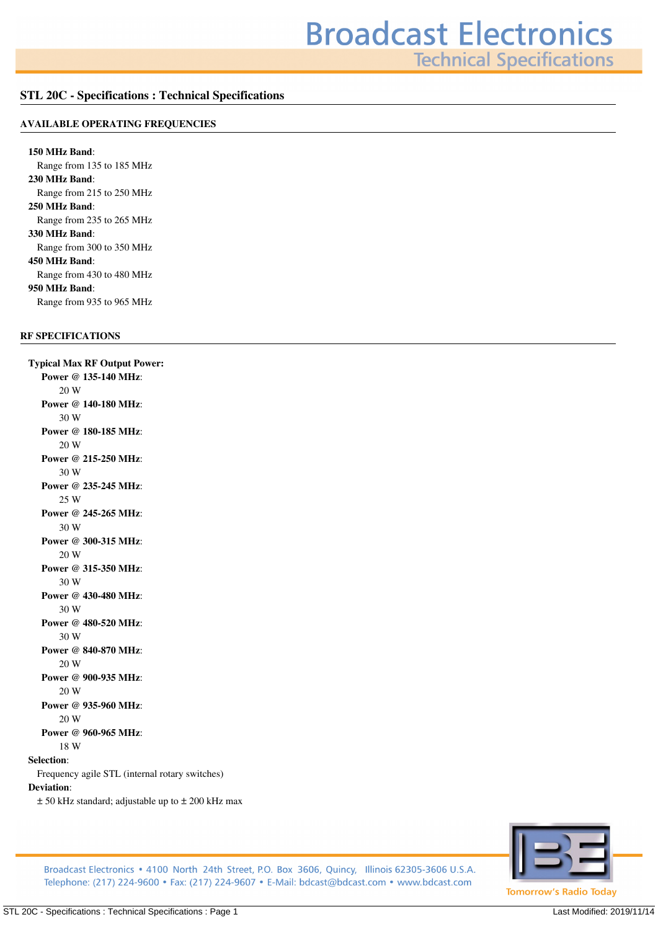**Technical Specifications** 

# **STL 20C - Specifications : Technical Specifications**

#### **AVAILABLE OPERATING FREQUENCIES**

**150 MHz Band***: Range from 135 to 185 MHz* **230 MHz Band***: Range from 215 to 250 MHz* **250 MHz Band***: Range from 235 to 265 MHz* **330 MHz Band***: Range from 300 to 350 MHz* **450 MHz Band***: Range from 430 to 480 MHz* **950 MHz Band***: Range from 935 to 965 MHz*

# **RF SPECIFICATIONS**

**Typical Max RF Output Power: Power @ 135-140 MHz***: 20 W* **Power @ 140-180 MHz***: 30 W* **Power @ 180-185 MHz***: 20 W* **Power @ 215-250 MHz***: 30 W* **Power @ 235-245 MHz***: 25 W* **Power @ 245-265 MHz***: 30 W* **Power @ 300-315 MHz***: 20 W* **Power @ 315-350 MHz***: 30 W* **Power @ 430-480 MHz***: 30 W* **Power @ 480-520 MHz***: 30 W* **Power @ 840-870 MHz***: 20 W* **Power @ 900-935 MHz***: 20 W* **Power @ 935-960 MHz***: 20 W* **Power @ 960-965 MHz***: 18 W* **Selection***:*

*Frequency agile STL (internal rotary switches)* **Deviation***:*

*± 50 kHz standard; adjustable up to ± 200 kHz max*



Broadcast Electronics • 4100 North 24th Street, P.O. Box 3606, Quincy, Illinois 62305-3606 U.S.A. Telephone: (217) 224-9600 • Fax: (217) 224-9607 • E-Mail: bdcast@bdcast.com • www.bdcast.com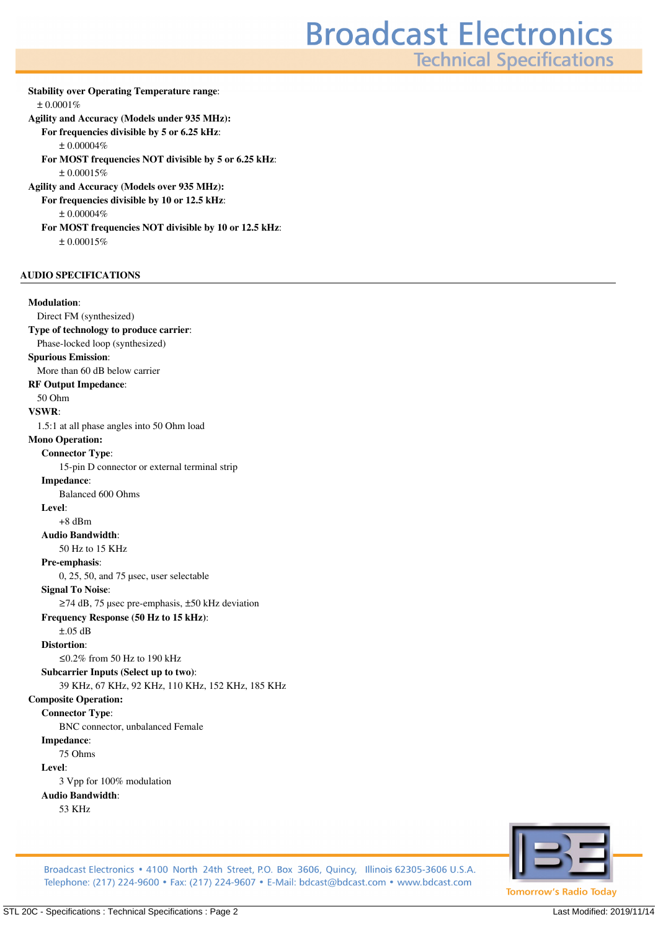# **Broadcast Electronics**

**Technical Specifications** 

**Stability over Operating Temperature range***: ± 0.0001%* **Agility and Accuracy (Models under 935 MHz): For frequencies divisible by 5 or 6.25 kHz***: ± 0.00004%* **For MOST frequencies NOT divisible by 5 or 6.25 kHz***: ± 0.00015%* **Agility and Accuracy (Models over 935 MHz): For frequencies divisible by 10 or 12.5 kHz***: ± 0.00004%* **For MOST frequencies NOT divisible by 10 or 12.5 kHz***: ± 0.00015%*

## **AUDIO SPECIFICATIONS**

#### **Modulation***:*

*Direct FM (synthesized)* **Type of technology to produce carrier***: Phase-locked loop (synthesized)* **Spurious Emission***: More than 60 dB below carrier* **RF Output Impedance***: 50 Ohm* **VSWR***: 1.5:1 at all phase angles into 50 Ohm load* **Mono Operation: Connector Type***: 15-pin D connector or external terminal strip* **Impedance***: Balanced 600 Ohms* **Level***: +8 dBm* **Audio Bandwidth***: 50 Hz to 15 KHz* **Pre-emphasis***: 0, 25, 50, and 75 µsec, user selectable* **Signal To Noise***: ≥74 dB, 75 µsec pre-emphasis, ±50 kHz deviation* **Frequency Response (50 Hz to 15 kHz)***: ±.05 dB* **Distortion***: ≤0.2% from 50 Hz to 190 kHz* **Subcarrier Inputs (Select up to two)***: 39 KHz, 67 KHz, 92 KHz, 110 KHz, 152 KHz, 185 KHz* **Composite Operation: Connector Type***: BNC connector, unbalanced Female* **Impedance***: 75 Ohms* **Level***: 3 Vpp for 100% modulation* **Audio Bandwidth***: 53 KHz*



Broadcast Electronics • 4100 North 24th Street, P.O. Box 3606, Quincy, Illinois 62305-3606 U.S.A. Telephone: (217) 224-9600 • Fax: (217) 224-9607 • E-Mail: bdcast@bdcast.com • www.bdcast.com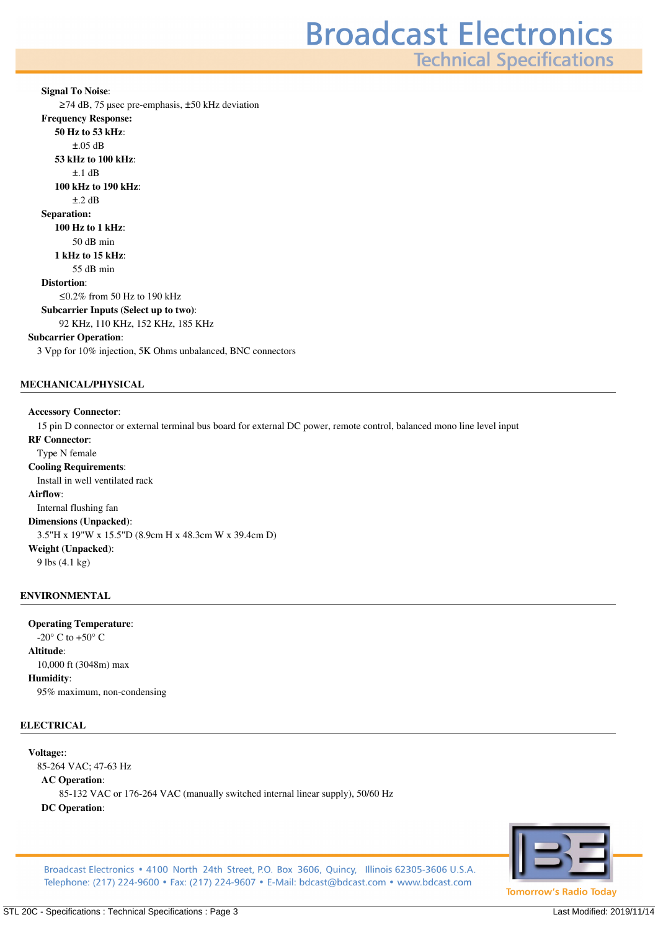**Technical Specifications** 

**Signal To Noise***: ≥74 dB, 75 µsec pre-emphasis, ±50 kHz deviation* **Frequency Response: 50 Hz to 53 kHz***: ±.05 dB* **53 kHz to 100 kHz***: ±.1 dB* **100 kHz to 190 kHz***: ±.2 dB* **Separation: 100 Hz to 1 kHz***: 50 dB min* **1 kHz to 15 kHz***: 55 dB min* **Distortion***: ≤0.2% from 50 Hz to 190 kHz* **Subcarrier Inputs (Select up to two)***: 92 KHz, 110 KHz, 152 KHz, 185 KHz* **Subcarrier Operation***: 3 Vpp for 10% injection, 5K Ohms unbalanced, BNC connectors*

# **MECHANICAL/PHYSICAL**

#### **Accessory Connector***:*

*15 pin D connector or external terminal bus board for external DC power, remote control, balanced mono line level input*

## **RF Connector***:*

*Type N female* **Cooling Requirements***: Install in well ventilated rack* **Airflow***: Internal flushing fan* **Dimensions (Unpacked)***: 3.5"H x 19"W x 15.5"D (8.9cm H x 48.3cm W x 39.4cm D)* **Weight (Unpacked)***: 9 lbs (4.1 kg)*

#### **ENVIRONMENTAL**

# **Operating Temperature***:*

*-20° C to +50° C* **Altitude***: 10,000 ft (3048m) max* **Humidity***: 95% maximum, non-condensing*

#### **ELECTRICAL**

#### **Voltage:***:*

*85-264 VAC; 47-63 Hz* **AC Operation***: 85-132 VAC or 176-264 VAC (manually switched internal linear supply), 50/60 Hz* **DC Operation***:*



Broadcast Electronics • 4100 North 24th Street, P.O. Box 3606, Quincy, Illinois 62305-3606 U.S.A. Telephone: (217) 224-9600 • Fax: (217) 224-9607 • E-Mail: bdcast@bdcast.com • www.bdcast.com